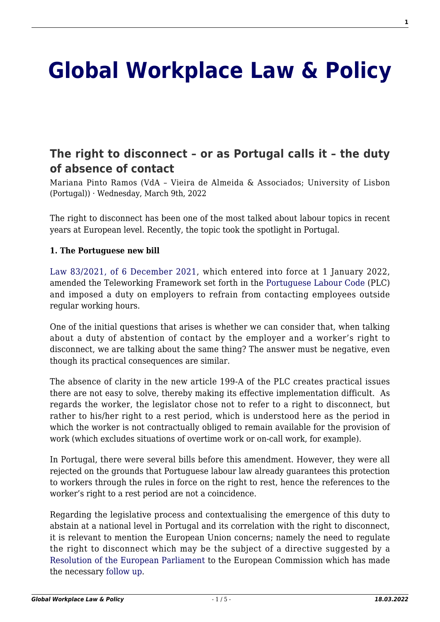# **[Global Workplace Law & Policy](http://global-workplace-law-and-policy.kluwerlawonline.com/)**

# **[The right to disconnect – or as Portugal calls it – the duty](http://global-workplace-law-and-policy.kluwerlawonline.com/2022/03/09/the-right-to-disconnect-or-as-portugal-calls-it-the-duty-of-absence-of-contact/) [of absence of contact](http://global-workplace-law-and-policy.kluwerlawonline.com/2022/03/09/the-right-to-disconnect-or-as-portugal-calls-it-the-duty-of-absence-of-contact/)**

Mariana Pinto Ramos (VdA – Vieira de Almeida & Associados; University of Lisbon (Portugal)) · Wednesday, March 9th, 2022

The right to disconnect has been one of the most talked about labour topics in recent years at European level. Recently, the topic took the spotlight in Portugal.

#### **1. The Portuguese new bill**

[Law 83/2021, of 6 December 2021](https://data.dre.pt/eli/lei/83/2021/12/06/p/dre/pt/html), which entered into force at 1 January 2022, amended the Teleworking Framework set forth in the [Portuguese Labour Code](https://data.dre.pt/eli/lei/7/2009/p/cons/20211206/pt/html) (PLC) and imposed a duty on employers to refrain from contacting employees outside regular working hours.

One of the initial questions that arises is whether we can consider that, when talking about a duty of abstention of contact by the employer and a worker's right to disconnect, we are talking about the same thing? The answer must be negative, even though its practical consequences are similar.

The absence of clarity in the new article 199-A of the PLC creates practical issues there are not easy to solve, thereby making its effective implementation difficult. As regards the worker, the legislator chose not to refer to a right to disconnect, but rather to his/her right to a rest period, which is understood here as the period in which the worker is not contractually obliged to remain available for the provision of work (which excludes situations of overtime work or on-call work, for example).

In Portugal, there were several bills before this amendment. However, they were all rejected on the grounds that Portuguese labour law already guarantees this protection to workers through the rules in force on the right to rest, hence the references to the worker's right to a rest period are not a coincidence.

Regarding the legislative process and contextualising the emergence of this duty to abstain at a national level in Portugal and its correlation with the right to disconnect, it is relevant to mention the European Union concerns; namely the need to regulate the right to disconnect which may be the subject of a directive suggested by a [Resolution of the European Parliament](https://www.europarl.europa.eu/doceo/document/TA-9-2021-0021_EN.html) to the European Commission which has made the necessary [follow up](https://eur-lex.europa.eu/legal-content/EN/TXT/HTML/?uri=CELEX:52021DC0323&from=EN).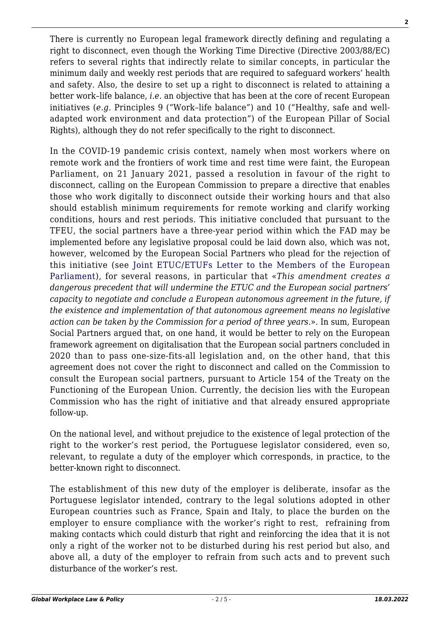There is currently no European legal framework directly defining and regulating a right to disconnect, even though the Working Time Directive (Directive 2003/88/EC) refers to several rights that indirectly relate to similar concepts, in particular the minimum daily and weekly rest periods that are required to safeguard workers' health and safety. Also, the desire to set up a right to disconnect is related to attaining a better work–life balance, *i.e*. an objective that has been at the core of recent European initiatives (*e.g*. Principles 9 ("Work–life balance") and 10 ("Healthy, safe and welladapted work environment and data protection") of the European Pillar of Social Rights), although they do not refer specifically to the right to disconnect.

In the COVID-19 pandemic crisis context, namely when most workers where on remote work and the frontiers of work time and rest time were faint, the European Parliament, on 21 January 2021, passed a resolution in favour of the right to disconnect, calling on the European Commission to prepare a directive that enables those who work digitally to disconnect outside their working hours and that also should establish minimum requirements for remote working and clarify working conditions, hours and rest periods. This initiative concluded that pursuant to the TFEU, the social partners have a three-year period within which the FAD may be implemented before any legislative proposal could be laid down also, which was not, however, welcomed by the European Social Partners who plead for the rejection of this initiative (see [Joint ETUC/ETUFs Letter to the Members of the European](https://www.etuc.org/sites/default/files/document/file/2021-01/R2D%20letter%20ETUC%20-%20ETUFs%20to%20MEPs%202021.pdf) [Parliament](https://www.etuc.org/sites/default/files/document/file/2021-01/R2D%20letter%20ETUC%20-%20ETUFs%20to%20MEPs%202021.pdf)), for several reasons, in particular that «*This amendment creates a dangerous precedent that will undermine the ETUC and the European social partners' capacity to negotiate and conclude a European autonomous agreement in the future, if the existence and implementation of that autonomous agreement means no legislative action can be taken by the Commission for a period of three years.*». In sum, European Social Partners argued that, on one hand, it would be better to rely on the European framework agreement on digitalisation that the European social partners concluded in 2020 than to pass one-size-fits-all legislation and, on the other hand, that this agreement does not cover the right to disconnect and called on the Commission to consult the European social partners, pursuant to Article 154 of the Treaty on the Functioning of the European Union. Currently, the decision lies with the European Commission who has the right of initiative and that already ensured appropriate follow-up.

On the national level, and without prejudice to the existence of legal protection of the right to the worker's rest period, the Portuguese legislator considered, even so, relevant, to regulate a duty of the employer which corresponds, in practice, to the better-known right to disconnect.

The establishment of this new duty of the employer is deliberate, insofar as the Portuguese legislator intended, contrary to the legal solutions adopted in other European countries such as France, Spain and Italy, to place the burden on the employer to ensure compliance with the worker's right to rest, refraining from making contacts which could disturb that right and reinforcing the idea that it is not only a right of the worker not to be disturbed during his rest period but also, and above all, a duty of the employer to refrain from such acts and to prevent such disturbance of the worker's rest.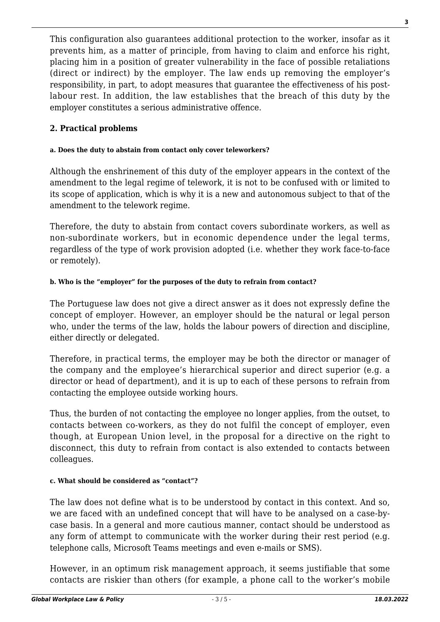This configuration also guarantees additional protection to the worker, insofar as it prevents him, as a matter of principle, from having to claim and enforce his right, placing him in a position of greater vulnerability in the face of possible retaliations (direct or indirect) by the employer. The law ends up removing the employer's responsibility, in part, to adopt measures that guarantee the effectiveness of his postlabour rest. In addition, the law establishes that the breach of this duty by the employer constitutes a serious administrative offence.

## **2. Practical problems**

#### **a. Does the duty to abstain from contact only cover teleworkers?**

Although the enshrinement of this duty of the employer appears in the context of the amendment to the legal regime of telework, it is not to be confused with or limited to its scope of application, which is why it is a new and autonomous subject to that of the amendment to the telework regime.

Therefore, the duty to abstain from contact covers subordinate workers, as well as non-subordinate workers, but in economic dependence under the legal terms, regardless of the type of work provision adopted (i.e. whether they work face-to-face or remotely).

#### **b. Who is the "employer" for the purposes of the duty to refrain from contact?**

The Portuguese law does not give a direct answer as it does not expressly define the concept of employer. However, an employer should be the natural or legal person who, under the terms of the law, holds the labour powers of direction and discipline, either directly or delegated.

Therefore, in practical terms, the employer may be both the director or manager of the company and the employee's hierarchical superior and direct superior (e.g. a director or head of department), and it is up to each of these persons to refrain from contacting the employee outside working hours.

Thus, the burden of not contacting the employee no longer applies, from the outset, to contacts between co-workers, as they do not fulfil the concept of employer, even though, at European Union level, in the proposal for a directive on the right to disconnect, this duty to refrain from contact is also extended to contacts between colleagues.

#### **c. What should be considered as "contact"?**

The law does not define what is to be understood by contact in this context. And so, we are faced with an undefined concept that will have to be analysed on a case-bycase basis. In a general and more cautious manner, contact should be understood as any form of attempt to communicate with the worker during their rest period (e.g. telephone calls, Microsoft Teams meetings and even e-mails or SMS).

However, in an optimum risk management approach, it seems justifiable that some contacts are riskier than others (for example, a phone call to the worker's mobile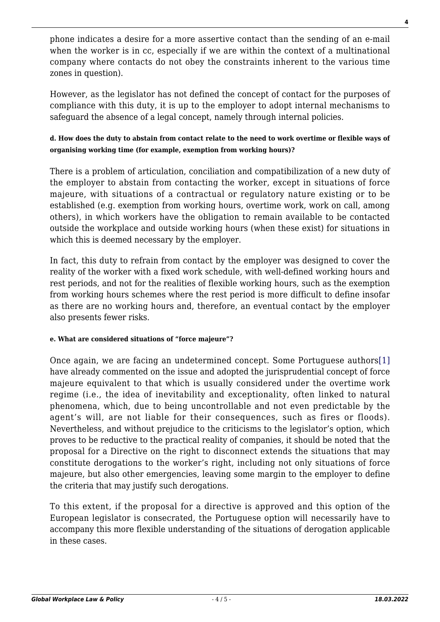phone indicates a desire for a more assertive contact than the sending of an e-mail when the worker is in cc, especially if we are within the context of a multinational company where contacts do not obey the constraints inherent to the various time zones in question).

However, as the legislator has not defined the concept of contact for the purposes of compliance with this duty, it is up to the employer to adopt internal mechanisms to safeguard the absence of a legal concept, namely through internal policies.

## **d. How does the duty to abstain from contact relate to the need to work overtime or flexible ways of organising working time (for example, exemption from working hours)?**

There is a problem of articulation, conciliation and compatibilization of a new duty of the employer to abstain from contacting the worker, except in situations of force majeure, with situations of a contractual or regulatory nature existing or to be established (e.g. exemption from working hours, overtime work, work on call, among others), in which workers have the obligation to remain available to be contacted outside the workplace and outside working hours (when these exist) for situations in which this is deemed necessary by the employer.

In fact, this duty to refrain from contact by the employer was designed to cover the reality of the worker with a fixed work schedule, with well-defined working hours and rest periods, and not for the realities of flexible working hours, such as the exemption from working hours schemes where the rest period is more difficult to define insofar as there are no working hours and, therefore, an eventual contact by the employer also presents fewer risks.

# **e. What are considered situations of "force majeure"?**

<span id="page-3-0"></span>Once again, we are facing an undetermined concept. Some Portuguese authors[\[1\]](#page-4-0) have already commented on the issue and adopted the jurisprudential concept of force majeure equivalent to that which is usually considered under the overtime work regime (i.e., the idea of inevitability and exceptionality, often linked to natural phenomena, which, due to being uncontrollable and not even predictable by the agent's will, are not liable for their consequences, such as fires or floods). Nevertheless, and without prejudice to the criticisms to the legislator's option, which proves to be reductive to the practical reality of companies, it should be noted that the proposal for a Directive on the right to disconnect extends the situations that may constitute derogations to the worker's right, including not only situations of force majeure, but also other emergencies, leaving some margin to the employer to define the criteria that may justify such derogations.

To this extent, if the proposal for a directive is approved and this option of the European legislator is consecrated, the Portuguese option will necessarily have to accompany this more flexible understanding of the situations of derogation applicable in these cases.